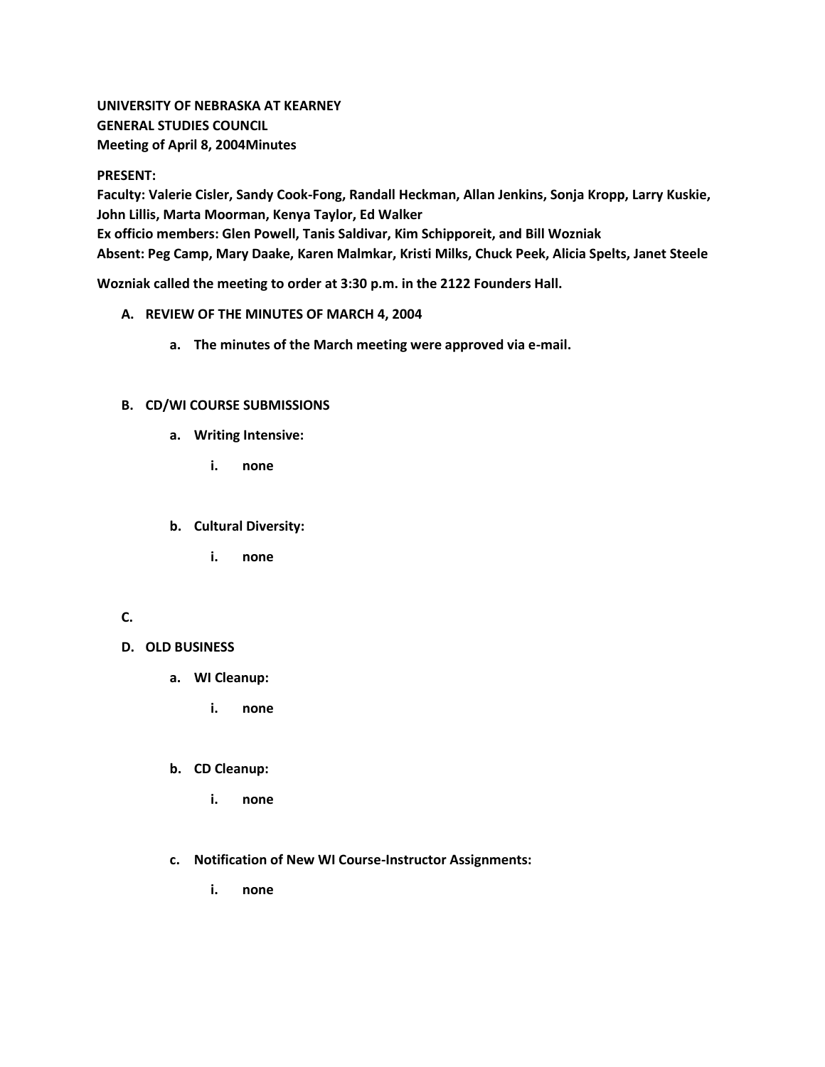# **UNIVERSITY OF NEBRASKA AT KEARNEY GENERAL STUDIES COUNCIL Meeting of April 8, 2004Minutes**

## **PRESENT:**

**Faculty: Valerie Cisler, Sandy Cook-Fong, Randall Heckman, Allan Jenkins, Sonja Kropp, Larry Kuskie, John Lillis, Marta Moorman, Kenya Taylor, Ed Walker Ex officio members: Glen Powell, Tanis Saldivar, Kim Schipporeit, and Bill Wozniak Absent: Peg Camp, Mary Daake, Karen Malmkar, Kristi Milks, Chuck Peek, Alicia Spelts, Janet Steele**

**Wozniak called the meeting to order at 3:30 p.m. in the 2122 Founders Hall.**

# **A. REVIEW OF THE MINUTES OF MARCH 4, 2004**

**a. The minutes of the March meeting were approved via e-mail.**

## **B. CD/WI COURSE SUBMISSIONS**

- **a. Writing Intensive:** 
	- **i. none**

# **b. Cultural Diversity:**

**i. none**

# **C.**

- **D. OLD BUSINESS**
	- **a. WI Cleanup:** 
		- **i. none**
	- **b. CD Cleanup:** 
		- **i. none**
	- **c. Notification of New WI Course-Instructor Assignments:** 
		- **i. none**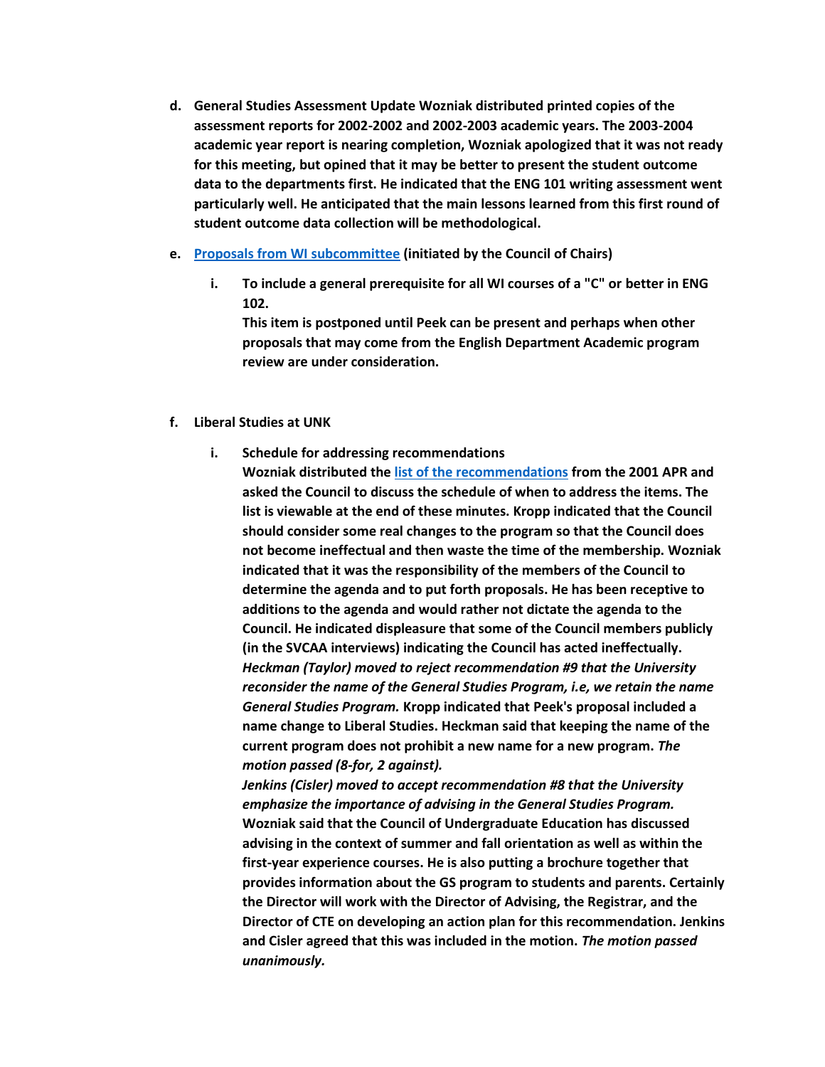- **d. General Studies Assessment Update Wozniak distributed printed copies of the assessment reports for 2002-2002 and 2002-2003 academic years. The 2003-2004 academic year report is nearing completion, Wozniak apologized that it was not ready for this meeting, but opined that it may be better to present the student outcome data to the departments first. He indicated that the ENG 101 writing assessment went particularly well. He anticipated that the main lessons learned from this first round of student outcome data collection will be methodological.**
- **e. [Proposals from WI subcommittee](http://www.unk.edu/academicaffairs/generalstudies/index.php?id=3851) (initiated by the Council of Chairs)** 
	- **i. To include a general prerequisite for all WI courses of a "C" or better in ENG 102.**

**This item is postponed until Peek can be present and perhaps when other proposals that may come from the English Department Academic program review are under consideration.**

## **f. Liberal Studies at UNK**

**i. Schedule for addressing recommendations Wozniak distributed the [list of the recommendations](http://www.unk.edu/academicaffairs/generalstudies/index.php?id=3852) from the 2001 APR and asked the Council to discuss the schedule of when to address the items. The list is viewable at the end of these minutes. Kropp indicated that the Council should consider some real changes to the program so that the Council does not become ineffectual and then waste the time of the membership. Wozniak indicated that it was the responsibility of the members of the Council to determine the agenda and to put forth proposals. He has been receptive to additions to the agenda and would rather not dictate the agenda to the Council. He indicated displeasure that some of the Council members publicly (in the SVCAA interviews) indicating the Council has acted ineffectually.**  *Heckman (Taylor) moved to reject recommendation #9 that the University reconsider the name of the General Studies Program, i.e, we retain the name General Studies Program.* **Kropp indicated that Peek's proposal included a name change to Liberal Studies. Heckman said that keeping the name of the current program does not prohibit a new name for a new program.** *The motion passed (8-for, 2 against).*

*Jenkins (Cisler) moved to accept recommendation #8 that the University emphasize the importance of advising in the General Studies Program.* **Wozniak said that the Council of Undergraduate Education has discussed advising in the context of summer and fall orientation as well as within the first-year experience courses. He is also putting a brochure together that provides information about the GS program to students and parents. Certainly the Director will work with the Director of Advising, the Registrar, and the Director of CTE on developing an action plan for this recommendation. Jenkins and Cisler agreed that this was included in the motion.** *The motion passed unanimously.*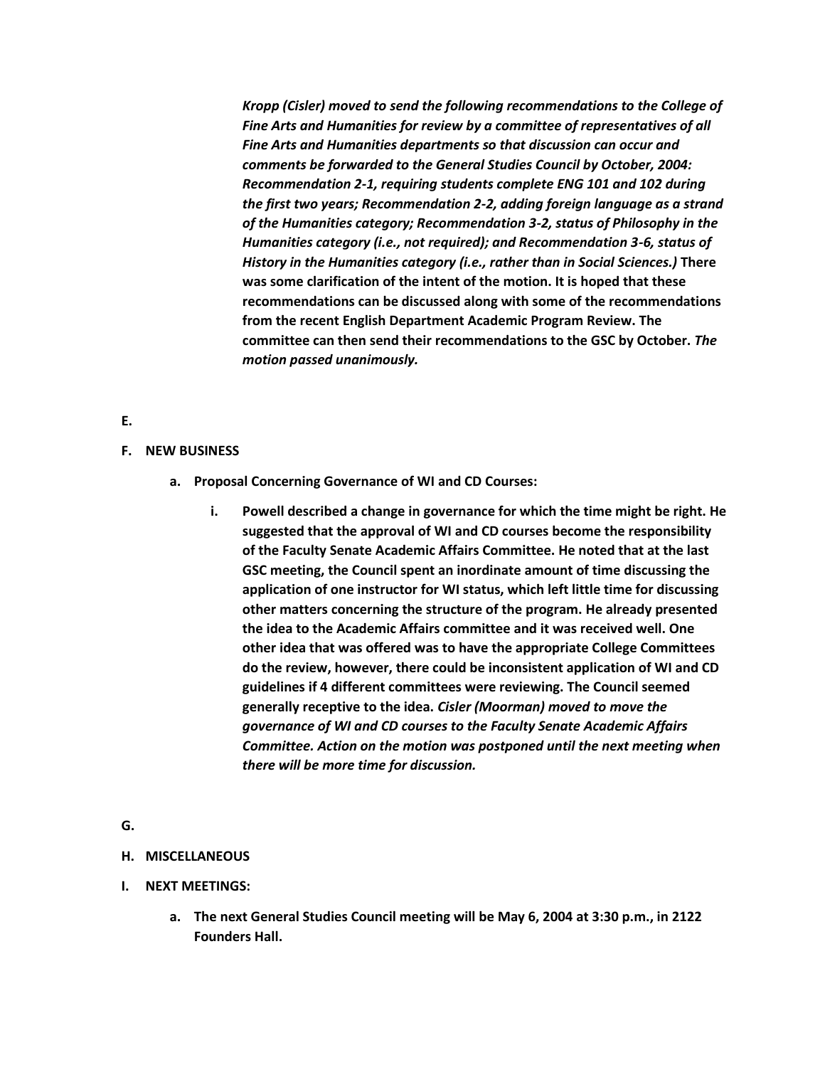*Kropp (Cisler) moved to send the following recommendations to the College of Fine Arts and Humanities for review by a committee of representatives of all Fine Arts and Humanities departments so that discussion can occur and comments be forwarded to the General Studies Council by October, 2004: Recommendation 2-1, requiring students complete ENG 101 and 102 during the first two years; Recommendation 2-2, adding foreign language as a strand of the Humanities category; Recommendation 3-2, status of Philosophy in the Humanities category (i.e., not required); and Recommendation 3-6, status of History in the Humanities category (i.e., rather than in Social Sciences.)* **There was some clarification of the intent of the motion. It is hoped that these recommendations can be discussed along with some of the recommendations from the recent English Department Academic Program Review. The committee can then send their recommendations to the GSC by October.** *The motion passed unanimously.*

#### **E.**

### **F. NEW BUSINESS**

- **a. Proposal Concerning Governance of WI and CD Courses:** 
	- **i. Powell described a change in governance for which the time might be right. He suggested that the approval of WI and CD courses become the responsibility of the Faculty Senate Academic Affairs Committee. He noted that at the last GSC meeting, the Council spent an inordinate amount of time discussing the application of one instructor for WI status, which left little time for discussing other matters concerning the structure of the program. He already presented the idea to the Academic Affairs committee and it was received well. One other idea that was offered was to have the appropriate College Committees do the review, however, there could be inconsistent application of WI and CD guidelines if 4 different committees were reviewing. The Council seemed generally receptive to the idea.** *Cisler (Moorman) moved to move the governance of WI and CD courses to the Faculty Senate Academic Affairs Committee. Action on the motion was postponed until the next meeting when there will be more time for discussion.*

## **G.**

#### **H. MISCELLANEOUS**

- **I. NEXT MEETINGS:**
	- **a. The next General Studies Council meeting will be May 6, 2004 at 3:30 p.m., in 2122 Founders Hall.**